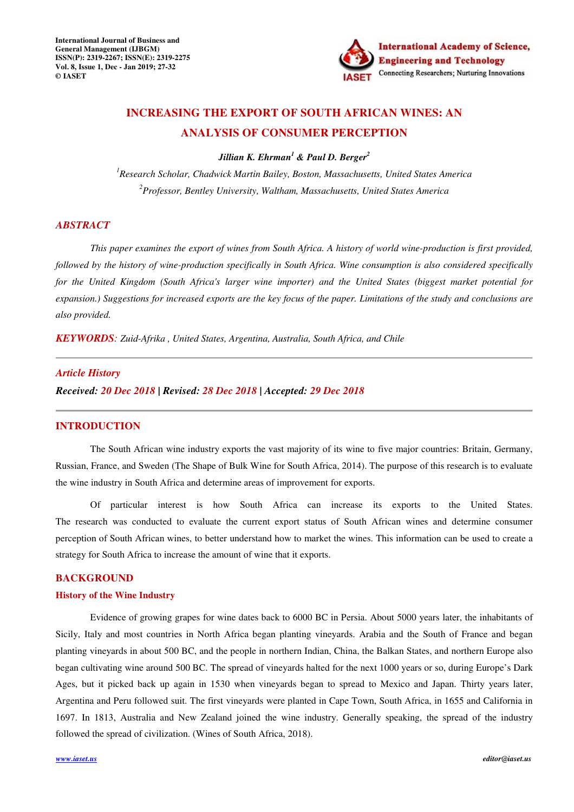

# **INCREASING THE EXPORT OF SOUTH AFRICAN WINES: AN ANALYSIS OF CONSUMER PERCEPTION**

*Jillian K. Ehrman<sup>1</sup> & Paul D. Berger<sup>2</sup>*

*<sup>1</sup>Research Scholar, Chadwick Martin Bailey, Boston, Massachusetts, United States America <sup>2</sup>Professor, Bentley University, Waltham, Massachusetts, United States America* 

### *ABSTRACT*

*This paper examines the export of wines from South Africa. A history of world wine-production is first provided, followed by the history of wine-production specifically in South Africa. Wine consumption is also considered specifically for the United Kingdom (South Africa's larger wine importer) and the United States (biggest market potential for expansion.) Suggestions for increased exports are the key focus of the paper. Limitations of the study and conclusions are also provided.*

*KEYWORDS: Zuid-Afrika , United States, Argentina, Australia, South Africa, and Chile*

### *Article History*

*Received: 20 Dec 2018 | Revised: 28 Dec 2018 | Accepted: 29 Dec 2018*

#### **INTRODUCTION**

The South African wine industry exports the vast majority of its wine to five major countries: Britain, Germany, Russian, France, and Sweden (The Shape of Bulk Wine for South Africa, 2014). The purpose of this research is to evaluate the wine industry in South Africa and determine areas of improvement for exports.

Of particular interest is how South Africa can increase its exports to the United States. The research was conducted to evaluate the current export status of South African wines and determine consumer perception of South African wines, to better understand how to market the wines. This information can be used to create a strategy for South Africa to increase the amount of wine that it exports.

## **BACKGROUND**

## **History of the Wine Industry**

Evidence of growing grapes for wine dates back to 6000 BC in Persia. About 5000 years later, the inhabitants of Sicily, Italy and most countries in North Africa began planting vineyards. Arabia and the South of France and began planting vineyards in about 500 BC, and the people in northern Indian, China, the Balkan States, and northern Europe also began cultivating wine around 500 BC. The spread of vineyards halted for the next 1000 years or so, during Europe's Dark Ages, but it picked back up again in 1530 when vineyards began to spread to Mexico and Japan. Thirty years later, Argentina and Peru followed suit. The first vineyards were planted in Cape Town, South Africa, in 1655 and California in 1697. In 1813, Australia and New Zealand joined the wine industry. Generally speaking, the spread of the industry followed the spread of civilization. (Wines of South Africa, 2018).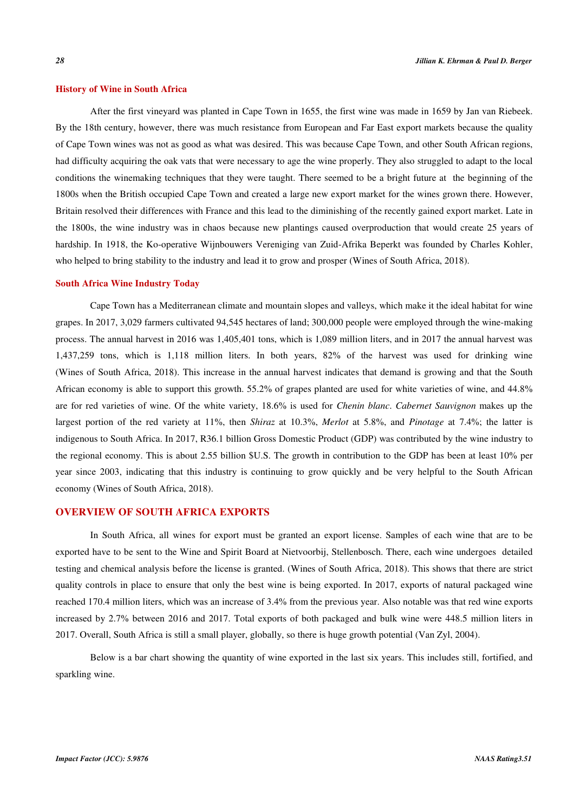#### **History of Wine in South Africa**

After the first vineyard was planted in Cape Town in 1655, the first wine was made in 1659 by Jan van Riebeek. By the 18th century, however, there was much resistance from European and Far East export markets because the quality of Cape Town wines was not as good as what was desired. This was because Cape Town, and other South African regions, had difficulty acquiring the oak vats that were necessary to age the wine properly. They also struggled to adapt to the local conditions the winemaking techniques that they were taught. There seemed to be a bright future at the beginning of the 1800s when the British occupied Cape Town and created a large new export market for the wines grown there. However, Britain resolved their differences with France and this lead to the diminishing of the recently gained export market. Late in the 1800s, the wine industry was in chaos because new plantings caused overproduction that would create 25 years of hardship. In 1918, the Ko-operative Wijnbouwers Vereniging van Zuid-Afrika Beperkt was founded by Charles Kohler, who helped to bring stability to the industry and lead it to grow and prosper (Wines of South Africa, 2018).

#### **South Africa Wine Industry Today**

Cape Town has a Mediterranean climate and mountain slopes and valleys, which make it the ideal habitat for wine grapes. In 2017, 3,029 farmers cultivated 94,545 hectares of land; 300,000 people were employed through the wine-making process. The annual harvest in 2016 was 1,405,401 tons, which is 1,089 million liters, and in 2017 the annual harvest was 1,437,259 tons, which is 1,118 million liters. In both years, 82% of the harvest was used for drinking wine (Wines of South Africa, 2018). This increase in the annual harvest indicates that demand is growing and that the South African economy is able to support this growth. 55.2% of grapes planted are used for white varieties of wine, and 44.8% are for red varieties of wine. Of the white variety, 18.6% is used for *Chenin blanc*. *Cabernet Sauvignon* makes up the largest portion of the red variety at 11%, then *Shiraz* at 10.3%, *Merlot* at 5.8%, and *Pinotage* at 7.4%; the latter is indigenous to South Africa. In 2017, R36.1 billion Gross Domestic Product (GDP) was contributed by the wine industry to the regional economy. This is about 2.55 billion \$U.S. The growth in contribution to the GDP has been at least 10% per year since 2003, indicating that this industry is continuing to grow quickly and be very helpful to the South African economy (Wines of South Africa, 2018).

## **OVERVIEW OF SOUTH AFRICA EXPORTS**

In South Africa, all wines for export must be granted an export license. Samples of each wine that are to be exported have to be sent to the Wine and Spirit Board at Nietvoorbij, Stellenbosch. There, each wine undergoes detailed testing and chemical analysis before the license is granted. (Wines of South Africa, 2018). This shows that there are strict quality controls in place to ensure that only the best wine is being exported. In 2017, exports of natural packaged wine reached 170.4 million liters, which was an increase of 3.4% from the previous year. Also notable was that red wine exports increased by 2.7% between 2016 and 2017. Total exports of both packaged and bulk wine were 448.5 million liters in 2017. Overall, South Africa is still a small player, globally, so there is huge growth potential (Van Zyl, 2004).

Below is a bar chart showing the quantity of wine exported in the last six years. This includes still, fortified, and sparkling wine.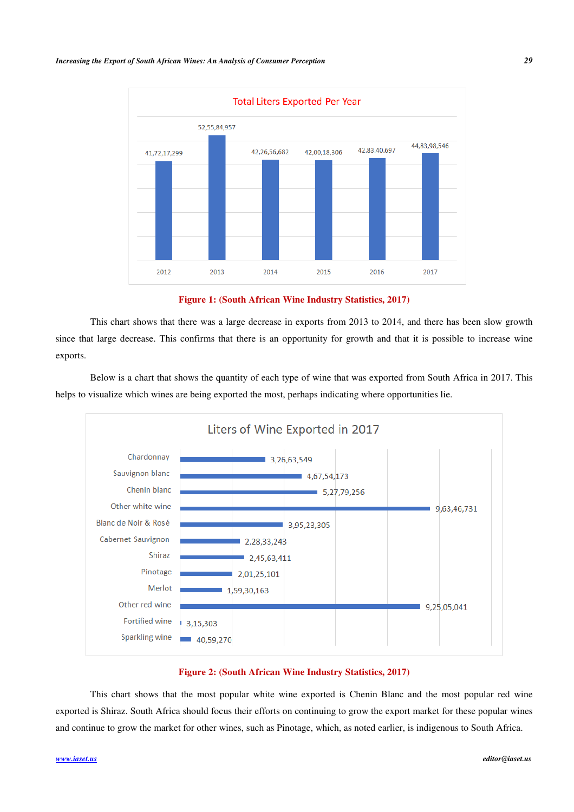

**Figure 1: (South African Wine Industry Statistics, 2017)**

 This chart shows that there was a large decrease in exports from 2013 to 2014, and there has been slow growth since that large decrease. This confirms that there is an opportunity for growth and that it is possible to increase wine exports.

Below is a chart that shows the quantity of each type of wine that was exported from South Africa in 2017. This helps to visualize which wines are being exported the most, perhaps indicating where opportunities lie.



#### **Figure 2: (South African Wine Industry Statistics, 2017)**

This chart shows that the most popular white wine exported is Chenin Blanc and the most popular red wine exported is Shiraz. South Africa should focus their efforts on continuing to grow the export market for these popular wines and continue to grow the market for other wines, such as Pinotage, which, as noted earlier, is indigenous to South Africa.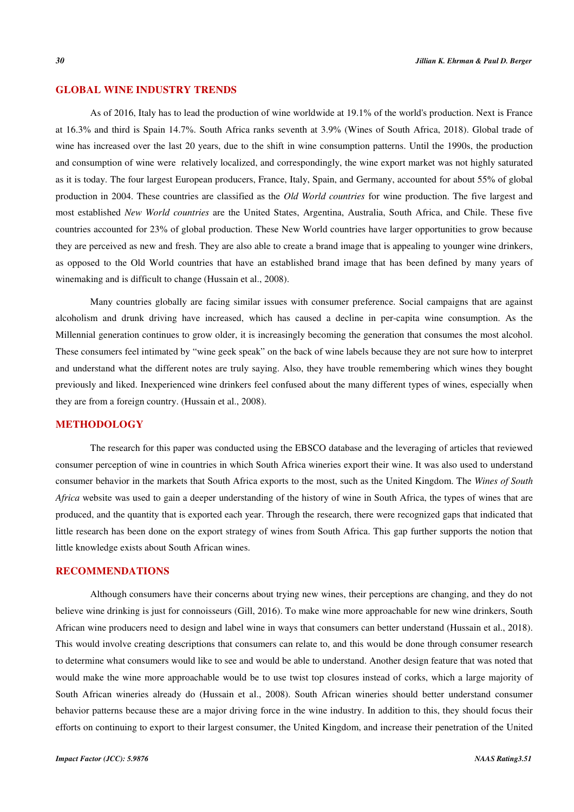## **GLOBAL WINE INDUSTRY TRENDS**

As of 2016, Italy has to lead the production of wine worldwide at 19.1% of the world's production. Next is France at 16.3% and third is Spain 14.7%. South Africa ranks seventh at 3.9% (Wines of South Africa, 2018). Global trade of wine has increased over the last 20 years, due to the shift in wine consumption patterns. Until the 1990s, the production and consumption of wine were relatively localized, and correspondingly, the wine export market was not highly saturated as it is today. The four largest European producers, France, Italy, Spain, and Germany, accounted for about 55% of global production in 2004. These countries are classified as the *Old World countries* for wine production. The five largest and most established *New World countries* are the United States, Argentina, Australia, South Africa, and Chile. These five countries accounted for 23% of global production. These New World countries have larger opportunities to grow because they are perceived as new and fresh. They are also able to create a brand image that is appealing to younger wine drinkers, as opposed to the Old World countries that have an established brand image that has been defined by many years of winemaking and is difficult to change (Hussain et al., 2008).

Many countries globally are facing similar issues with consumer preference. Social campaigns that are against alcoholism and drunk driving have increased, which has caused a decline in per-capita wine consumption. As the Millennial generation continues to grow older, it is increasingly becoming the generation that consumes the most alcohol. These consumers feel intimated by "wine geek speak" on the back of wine labels because they are not sure how to interpret and understand what the different notes are truly saying. Also, they have trouble remembering which wines they bought previously and liked. Inexperienced wine drinkers feel confused about the many different types of wines, especially when they are from a foreign country. (Hussain et al., 2008).

## **METHODOLOGY**

The research for this paper was conducted using the EBSCO database and the leveraging of articles that reviewed consumer perception of wine in countries in which South Africa wineries export their wine. It was also used to understand consumer behavior in the markets that South Africa exports to the most, such as the United Kingdom. The *Wines of South Africa* website was used to gain a deeper understanding of the history of wine in South Africa, the types of wines that are produced, and the quantity that is exported each year. Through the research, there were recognized gaps that indicated that little research has been done on the export strategy of wines from South Africa. This gap further supports the notion that little knowledge exists about South African wines.

### **RECOMMENDATIONS**

Although consumers have their concerns about trying new wines, their perceptions are changing, and they do not believe wine drinking is just for connoisseurs (Gill, 2016). To make wine more approachable for new wine drinkers, South African wine producers need to design and label wine in ways that consumers can better understand (Hussain et al., 2018). This would involve creating descriptions that consumers can relate to, and this would be done through consumer research to determine what consumers would like to see and would be able to understand. Another design feature that was noted that would make the wine more approachable would be to use twist top closures instead of corks, which a large majority of South African wineries already do (Hussain et al., 2008). South African wineries should better understand consumer behavior patterns because these are a major driving force in the wine industry. In addition to this, they should focus their efforts on continuing to export to their largest consumer, the United Kingdom, and increase their penetration of the United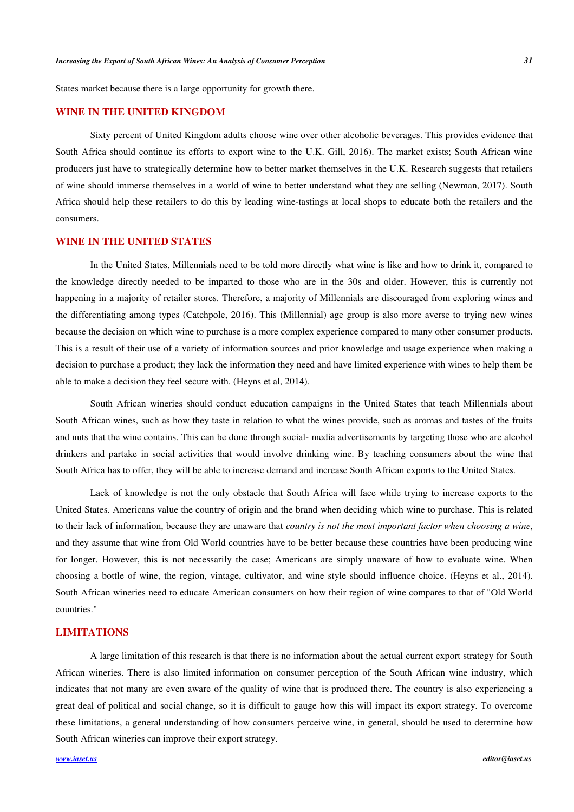States market because there is a large opportunity for growth there.

## **WINE IN THE UNITED KINGDOM**

Sixty percent of United Kingdom adults choose wine over other alcoholic beverages. This provides evidence that South Africa should continue its efforts to export wine to the U.K. Gill, 2016). The market exists; South African wine producers just have to strategically determine how to better market themselves in the U.K. Research suggests that retailers of wine should immerse themselves in a world of wine to better understand what they are selling (Newman, 2017). South Africa should help these retailers to do this by leading wine-tastings at local shops to educate both the retailers and the consumers.

## **WINE IN THE UNITED STATES**

In the United States, Millennials need to be told more directly what wine is like and how to drink it, compared to the knowledge directly needed to be imparted to those who are in the 30s and older. However, this is currently not happening in a majority of retailer stores. Therefore, a majority of Millennials are discouraged from exploring wines and the differentiating among types (Catchpole, 2016). This (Millennial) age group is also more averse to trying new wines because the decision on which wine to purchase is a more complex experience compared to many other consumer products. This is a result of their use of a variety of information sources and prior knowledge and usage experience when making a decision to purchase a product; they lack the information they need and have limited experience with wines to help them be able to make a decision they feel secure with. (Heyns et al, 2014).

South African wineries should conduct education campaigns in the United States that teach Millennials about South African wines, such as how they taste in relation to what the wines provide, such as aromas and tastes of the fruits and nuts that the wine contains. This can be done through social- media advertisements by targeting those who are alcohol drinkers and partake in social activities that would involve drinking wine. By teaching consumers about the wine that South Africa has to offer, they will be able to increase demand and increase South African exports to the United States.

Lack of knowledge is not the only obstacle that South Africa will face while trying to increase exports to the United States. Americans value the country of origin and the brand when deciding which wine to purchase. This is related to their lack of information, because they are unaware that *country is not the most important factor when choosing a wine*, and they assume that wine from Old World countries have to be better because these countries have been producing wine for longer. However, this is not necessarily the case; Americans are simply unaware of how to evaluate wine. When choosing a bottle of wine, the region, vintage, cultivator, and wine style should influence choice. (Heyns et al., 2014). South African wineries need to educate American consumers on how their region of wine compares to that of "Old World countries."

#### **LIMITATIONS**

A large limitation of this research is that there is no information about the actual current export strategy for South African wineries. There is also limited information on consumer perception of the South African wine industry, which indicates that not many are even aware of the quality of wine that is produced there. The country is also experiencing a great deal of political and social change, so it is difficult to gauge how this will impact its export strategy. To overcome these limitations, a general understanding of how consumers perceive wine, in general, should be used to determine how South African wineries can improve their export strategy.